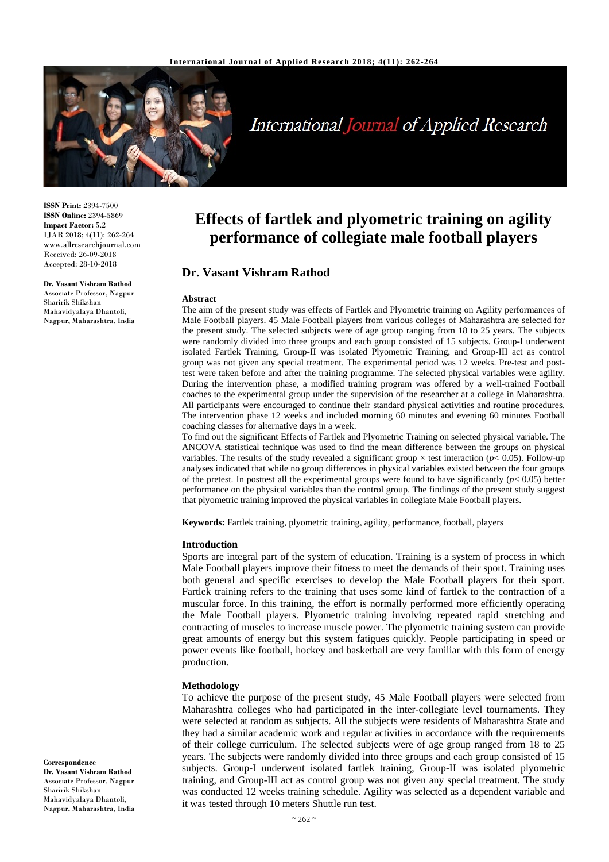

# **International Journal of Applied Research**

**ISSN Print:** 2394-7500 **ISSN Online:** 2394-5869 **Impact Factor:** 5.2 IJAR 2018; 4(11): 262-264 www.allresearchjournal.com Received: 26-09-2018 Accepted: 28-10-2018

#### **Dr. Vasant Vishram Rathod**

Associate Professor, Nagpur Sharirik Shikshan Mahavidyalaya Dhantoli, Nagpur, Maharashtra, India

## **Effects of fartlek and plyometric training on agility performance of collegiate male football players**

## **Dr. Vasant Vishram Rathod**

#### **Abstract**

The aim of the present study was effects of Fartlek and Plyometric training on Agility performances of Male Football players. 45 Male Football players from various colleges of Maharashtra are selected for the present study. The selected subjects were of age group ranging from 18 to 25 years. The subjects were randomly divided into three groups and each group consisted of 15 subjects. Group-I underwent isolated Fartlek Training, Group-II was isolated Plyometric Training, and Group-III act as control group was not given any special treatment. The experimental period was 12 weeks. Pre-test and posttest were taken before and after the training programme. The selected physical variables were agility. During the intervention phase, a modified training program was offered by a well-trained Football coaches to the experimental group under the supervision of the researcher at a college in Maharashtra. All participants were encouraged to continue their standard physical activities and routine procedures. The intervention phase 12 weeks and included morning 60 minutes and evening 60 minutes Football coaching classes for alternative days in a week.

To find out the significant Effects of Fartlek and Plyometric Training on selected physical variable. The ANCOVA statistical technique was used to find the mean difference between the groups on physical variables. The results of the study revealed a significant group  $\times$  test interaction ( $p$ < 0.05). Follow-up analyses indicated that while no group differences in physical variables existed between the four groups of the pretest. In posttest all the experimental groups were found to have significantly  $(p< 0.05)$  better performance on the physical variables than the control group. The findings of the present study suggest that plyometric training improved the physical variables in collegiate Male Football players.

**Keywords:** Fartlek training, plyometric training, agility, performance, football, players

#### **Introduction**

Sports are integral part of the system of education. Training is a system of process in which Male Football players improve their fitness to meet the demands of their sport. Training uses both general and specific exercises to develop the Male Football players for their sport. Fartlek training refers to the training that uses some kind of fartlek to the contraction of a muscular force. In this training, the effort is normally performed more efficiently operating the Male Football players. Plyometric training involving repeated rapid stretching and contracting of muscles to increase muscle power. The plyometric training system can provide great amounts of energy but this system fatigues quickly. People participating in speed or power events like football, hockey and basketball are very familiar with this form of energy production.

#### **Methodology**

To achieve the purpose of the present study, 45 Male Football players were selected from Maharashtra colleges who had participated in the inter-collegiate level tournaments. They were selected at random as subjects. All the subjects were residents of Maharashtra State and they had a similar academic work and regular activities in accordance with the requirements of their college curriculum. The selected subjects were of age group ranged from 18 to 25 years. The subjects were randomly divided into three groups and each group consisted of 15 subjects. Group-I underwent isolated fartlek training, Group-II was isolated plyometric training, and Group-III act as control group was not given any special treatment. The study was conducted 12 weeks training schedule. Agility was selected as a dependent variable and it was tested through 10 meters Shuttle run test.

#### **Correspondence**

**Dr. Vasant Vishram Rathod** Associate Professor, Nagpur Sharirik Shikshan Mahavidyalaya Dhantoli, Nagpur, Maharashtra, India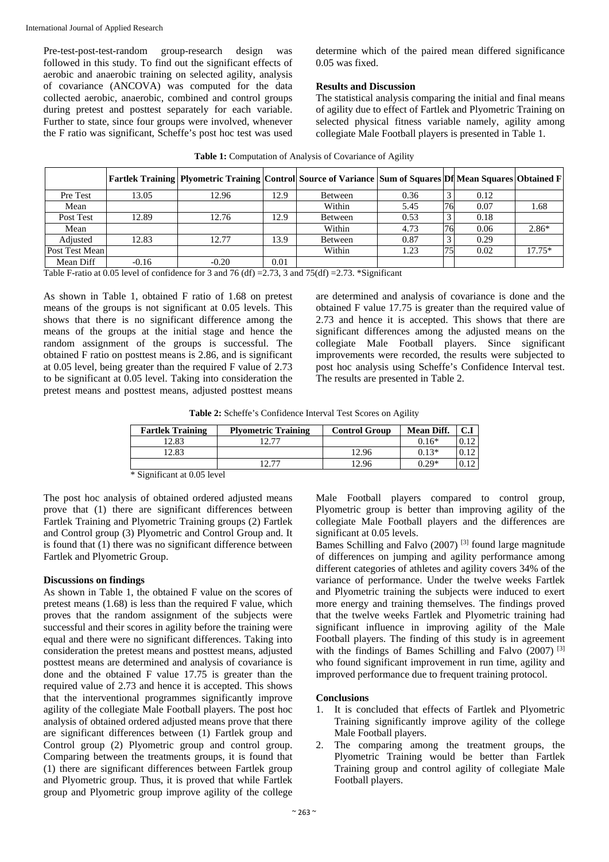Pre-test-post-test-random group-research design was followed in this study. To find out the significant effects of aerobic and anaerobic training on selected agility, analysis of covariance (ANCOVA) was computed for the data collected aerobic, anaerobic, combined and control groups during pretest and posttest separately for each variable. Further to state, since four groups were involved, whenever the F ratio was significant, Scheffe's post hoc test was used

determine which of the paired mean differed significance 0.05 was fixed.

## **Results and Discussion**

The statistical analysis comparing the initial and final means of agility due to effect of Fartlek and Plyometric Training on selected physical fitness variable namely, agility among collegiate Male Football players is presented in Table 1.

|                |         | Fartlek Training   Plyometric Training   Control   Source of Variance   Sum of Squares   Df  Mean Squares   Obtained F |      |         |      |              |      |          |
|----------------|---------|------------------------------------------------------------------------------------------------------------------------|------|---------|------|--------------|------|----------|
| Pre Test       | 13.05   | 12.96                                                                                                                  | 12.9 | Between | 0.36 | $\mathbf{c}$ | 0.12 |          |
| Mean           |         |                                                                                                                        |      | Within  | 5.45 | 76           | 0.07 | 1.68     |
| Post Test      | 12.89   | 12.76                                                                                                                  | 12.9 | Between | 0.53 | $\mathbf{c}$ | 0.18 |          |
| Mean           |         |                                                                                                                        |      | Within  | 4.73 | 76           | 0.06 | $2.86*$  |
| Adjusted       | 12.83   | 12.77                                                                                                                  | 13.9 | Between | 0.87 | $\sim$       | 0.29 |          |
| Post Test Mean |         |                                                                                                                        |      | Within  | 1.23 | 75           | 0.02 | $17.75*$ |
| Mean Diff      | $-0.16$ | $-0.20$                                                                                                                | 0.01 |         |      |              |      |          |

|  | Table 1: Computation of Analysis of Covariance of Agility |  |
|--|-----------------------------------------------------------|--|
|  |                                                           |  |

Table F-ratio at 0.05 level of confidence for 3 and 76 (df) = 2.73, 3 and 75 (df) = 2.73. \*Significant

As shown in Table 1, obtained F ratio of 1.68 on pretest means of the groups is not significant at 0.05 levels. This shows that there is no significant difference among the means of the groups at the initial stage and hence the random assignment of the groups is successful. The obtained F ratio on posttest means is 2.86, and is significant at 0.05 level, being greater than the required F value of 2.73 to be significant at 0.05 level. Taking into consideration the pretest means and posttest means, adjusted posttest means are determined and analysis of covariance is done and the obtained F value 17.75 is greater than the required value of 2.73 and hence it is accepted. This shows that there are significant differences among the adjusted means on the collegiate Male Football players. Since significant improvements were recorded, the results were subjected to post hoc analysis using Scheffe's Confidence Interval test. The results are presented in Table 2.

**Table 2:** Scheffe's Confidence Interval Test Scores on Agility

| <b>Fartlek Training</b>                                                | <b>Plyometric Training</b> | <b>Control Group</b> | <b>Mean Diff.</b> | C.I |
|------------------------------------------------------------------------|----------------------------|----------------------|-------------------|-----|
| 12.83                                                                  | 19 77                      |                      | $0.16*$           |     |
| 12.83                                                                  |                            | 12.96                | $0.13*$           |     |
|                                                                        | די רו                      | 12.96                | $0.29*$           |     |
| $\sim$ $\sim$ $\sim$<br>$\cdots$<br>$\sim$ $\sim$ $\sim$ $\sim$ $\sim$ |                            |                      |                   |     |

\* Significant at 0.05 level

The post hoc analysis of obtained ordered adjusted means prove that (1) there are significant differences between Fartlek Training and Plyometric Training groups (2) Fartlek and Control group (3) Plyometric and Control Group and. It is found that (1) there was no significant difference between Fartlek and Plyometric Group.

## **Discussions on findings**

As shown in Table 1, the obtained F value on the scores of pretest means (1.68) is less than the required F value, which proves that the random assignment of the subjects were successful and their scores in agility before the training were equal and there were no significant differences. Taking into consideration the pretest means and posttest means, adjusted posttest means are determined and analysis of covariance is done and the obtained F value 17.75 is greater than the required value of 2.73 and hence it is accepted. This shows that the interventional programmes significantly improve agility of the collegiate Male Football players. The post hoc analysis of obtained ordered adjusted means prove that there are significant differences between (1) Fartlek group and Control group (2) Plyometric group and control group. Comparing between the treatments groups, it is found that (1) there are significant differences between Fartlek group and Plyometric group. Thus, it is proved that while Fartlek group and Plyometric group improve agility of the college Male Football players compared to control group, Plyometric group is better than improving agility of the collegiate Male Football players and the differences are significant at 0.05 levels.

Bames Schilling and Falvo  $(2007)^{3}$  found large magnitude of differences on jumping and agility performance among different categories of athletes and agility covers 34% of the variance of performance. Under the twelve weeks Fartlek and Plyometric training the subjects were induced to exert more energy and training themselves. The findings proved that the twelve weeks Fartlek and Plyometric training had significant influence in improving agility of the Male Football players. The finding of this study is in agreement with the findings of Bames Schilling and Falvo (2007)<sup>[3]</sup> who found significant improvement in run time, agility and improved performance due to frequent training protocol.

## **Conclusions**

- 1. It is concluded that effects of Fartlek and Plyometric Training significantly improve agility of the college Male Football players.
- 2. The comparing among the treatment groups, the Plyometric Training would be better than Fartlek Training group and control agility of collegiate Male Football players.